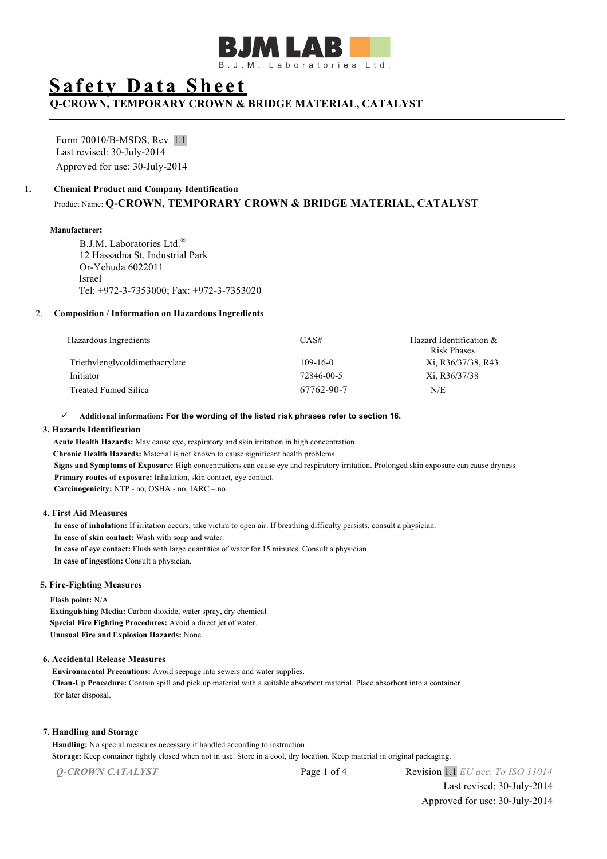

# **Safety Data Sheet**

## **Q-CROWN, TEMPORARY CROWN & BRIDGE MATERIAL, CATALYST**

Form 70010/B-MSDS, Rev. 1.1 Last revised: 30-July-2014 Approved for use: 30-July-2014

#### **1. Chemical Product and Company Identification**

### Product Name: **Q-CROWN, TEMPORARY CROWN & BRIDGE MATERIAL, CATALYST**

#### **Manufacturer:**

B.J.M. Laboratories Ltd.® 12 Hassadna St. Industrial Park Or-Yehuda 6022011 Israel Tel: +972-3-7353000; Fax: +972-3-7353020

#### 2. **Composition / Information on Hazardous Ingredients**

| Hazardous Ingredients          | CAS#           | Hazard Identification &<br>Risk Phases |
|--------------------------------|----------------|----------------------------------------|
| Triethylenglycoldimethacrylate | $109 - 16 - 0$ | Xi, R36/37/38, R43                     |
| Initiator                      | 72846-00-5     | Xi, R36/37/38                          |
| Treated Fumed Silica           | 67762-90-7     | N/E                                    |

#### ü **Additional information: For the wording of the listed risk phrases refer to section 16.**

#### **3. Hazards Identification**

 **Acute Health Hazards:** May cause eye, respiratory and skin irritation in high concentration.  **Chronic Health Hazards:** Material is not known to cause significant health problems  **Signs and Symptoms of Exposure:** High concentrations can cause eye and respiratory irritation. Prolonged skin exposure can cause dryness  **Primary routes of exposure:** Inhalation, skin contact, eye contact.  **Carcinogenicity:** NTP - no, OSHA - no, IARC – no.

#### **4. First Aid Measures**

 **In case of inhalation:** If irritation occurs, take victim to open air. If breathing difficulty persists, consult a physician.  **In case of skin contact:** Wash with soap and water.  **In case of eye contact:** Flush with large quantities of water for 15 minutes. Consult a physician.  **In case of ingestion:** Consult a physician.

#### **5. Fire-Fighting Measures**

**Flash point:** N/A

**Extinguishing Media:** Carbon dioxide, water spray, dry chemical **Special Fire Fighting Procedures:** Avoid a direct jet of water. **Unusual Fire and Explosion Hazards:** None.

#### **6. Accidental Release Measures**

**Environmental Precautions:** Avoid seepage into sewers and water supplies. **Clean-Up Procedure:** Contain spill and pick up material with a suitable absorbent material. Place absorbent into a container for later disposal.

#### **7. Handling and Storage**

**Handling:** No special measures necessary if handled according to instruction

**Storage:** Keep container tightly closed when not in use. Store in a cool, dry location. Keep material in original packaging.

*Q-CROWN CATALYST* Page 1 of 4 Revision 1.1 *EU acc. To ISO 11014*

Last revised: 30-July-2014 Approved for use: 30-July-2014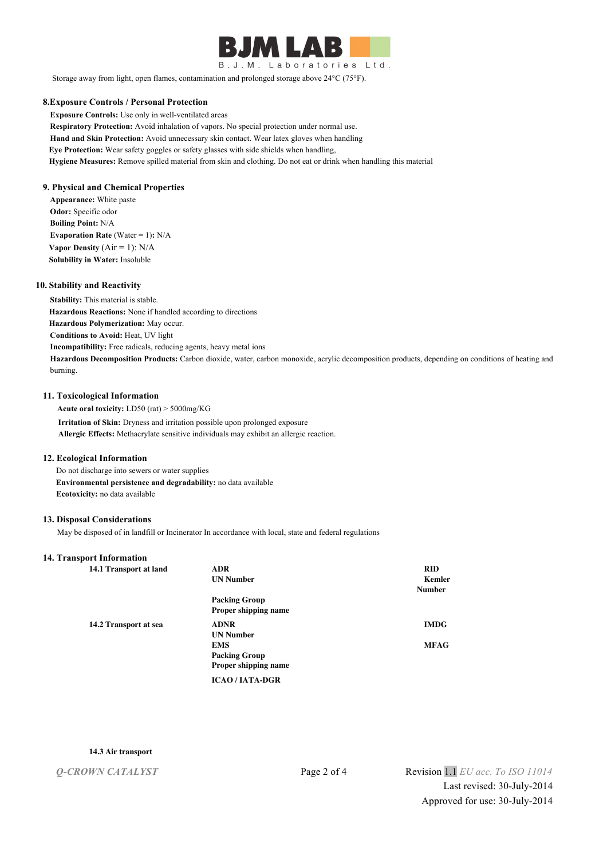

B.J.M. Laboratories Ltd.

Storage away from light, open flames, contamination and prolonged storage above 24°C (75°F).

#### **8.Exposure Controls / Personal Protection**

**Exposure Controls:** Use only in well-ventilated areas **Respiratory Protection:** Avoid inhalation of vapors. No special protection under normal use. **Hand and Skin Protection:** Avoid unnecessary skin contact. Wear latex gloves when handling **Eye Protection:** Wear safety goggles or safety glasses with side shields when handling, **Hygiene Measures:** Remove spilled material from skin and clothing. Do not eat or drink when handling this material

#### **9. Physical and Chemical Properties**

**Appearance:** White paste **Odor:** Specific odor **Boiling Point:** N/A **Evaporation Rate (Water = 1): N/A Vapor Density**  $(Air = 1)$ :  $N/A$ **Solubility in Water:** Insoluble

#### **10. Stability and Reactivity**

**Stability:** This material is stable. **Hazardous Reactions:** None if handled according to directions **Hazardous Polymerization:** May occur. **Conditions to Avoid:** Heat, UV light **Incompatibility:** Free radicals, reducing agents, heavy metal ions **Hazardous Decomposition Products:** Carbon dioxide, water, carbon monoxide, acrylic decomposition products, depending on conditions of heating and burning.

#### **11. Toxicological Information**

 **Acute oral toxicity:** LD50 (rat) > 5000mg/KG  **Irritation of Skin:** Dryness and irritation possible upon prolonged exposure  **Allergic Effects:** Methacrylate sensitive individuals may exhibit an allergic reaction.

#### **12. Ecological Information**

 Do not discharge into sewers or water supplies  **Environmental persistence and degradability:** no data available  **Ecotoxicity:** no data available

#### **13. Disposal Considerations**

May be disposed of in landfill or Incinerator In accordance with local, state and federal regulations

#### **14. Transport Information**

| 14.1 Transport at land | <b>ADR</b>                  | <b>RID</b>    |
|------------------------|-----------------------------|---------------|
|                        | <b>UN Number</b>            | Kemler        |
|                        |                             | <b>Number</b> |
|                        | <b>Packing Group</b>        |               |
|                        | <b>Proper shipping name</b> |               |
| 14.2 Transport at sea  | <b>ADNR</b>                 | <b>IMDG</b>   |
|                        | <b>UN Number</b>            |               |
|                        | <b>EMS</b>                  | <b>MFAG</b>   |
|                        | <b>Packing Group</b>        |               |
|                        | <b>Proper shipping name</b> |               |
|                        | <b>ICAO/IATA-DGR</b>        |               |

#### **14.3 Air transport**

*Q-CROWN CATALYST* Page 2 of 4 Revision 1.1 *EU acc. To ISO 11014* Last revised: 30-July-2014 Approved for use: 30-July-2014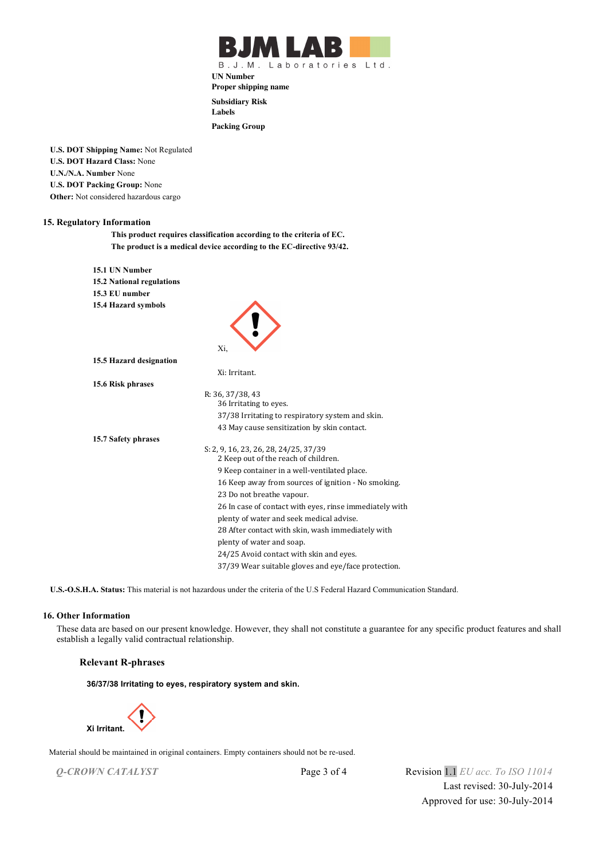

B.J.M. Laboratories Ltd.

**UN Number Proper shipping name**

**Subsidiary Risk**

**Labels**

**Packing Group**

**U.S. DOT Shipping Name:** Not Regulated **U.S. DOT Hazard Class:** None **U.N./N.A. Number** None **U.S. DOT Packing Group:** None **Other:** Not considered hazardous cargo

#### **15. Regulatory Information**

**This product requires classification according to the criteria of EC. The product is a medical device according to the EC-directive 93/42.**

| 15.1 UN Number                   |                                                                               |
|----------------------------------|-------------------------------------------------------------------------------|
| <b>15.2 National regulations</b> |                                                                               |
| 15.3 EU number                   |                                                                               |
| 15.4 Hazard symbols              |                                                                               |
|                                  | Xi,                                                                           |
| 15.5 Hazard designation          |                                                                               |
|                                  | Xi: Irritant.                                                                 |
| 15.6 Risk phrases                |                                                                               |
|                                  | R: 36, 37/38, 43                                                              |
|                                  | 36 Irritating to eyes.                                                        |
|                                  | 37/38 Irritating to respiratory system and skin.                              |
|                                  | 43 May cause sensitization by skin contact.                                   |
| 15.7 Safety phrases              |                                                                               |
|                                  | S: 2, 9, 16, 23, 26, 28, 24/25, 37/39<br>2 Keep out of the reach of children. |
|                                  | 9 Keep container in a well-ventilated place.                                  |
|                                  | 16 Keep away from sources of ignition - No smoking.                           |
|                                  | 23 Do not breathe vapour.                                                     |
|                                  | 26 In case of contact with eyes, rinse immediately with                       |
|                                  | plenty of water and seek medical advise.                                      |
|                                  | 28 After contact with skin, wash immediately with                             |
|                                  | plenty of water and soap.                                                     |
|                                  | 24/25 Avoid contact with skin and eyes.                                       |
|                                  | 37/39 Wear suitable gloves and eye/face protection.                           |

**U.S.-O.S.H.A. Status:** This material is not hazardous under the criteria of the U.S Federal Hazard Communication Standard.

#### **16. Other Information**

 These data are based on our present knowledge. However, they shall not constitute a guarantee for any specific product features and shall establish a legally valid contractual relationship.

#### **Relevant R-phrases**

**36/37/38 Irritating to eyes, respiratory system and skin.**



Material should be maintained in original containers. Empty containers should not be re-used.

*Q-CROWN CATALYST* Page 3 of 4 Revision 1.1 *EU acc. To ISO 11014* Last revised: 30-July-2014 Approved for use: 30-July-2014